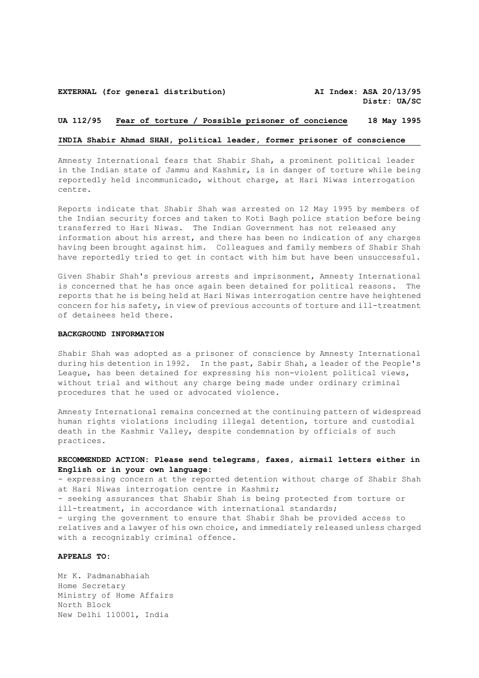#### **EXTERNAL (for general distribution) AI Index: ASA 20/13/95**

## **UA 112/95 Fear of torture / Possible prisoner of concience 18 May 1995**

## **INDIA Shabir Ahmad SHAH, political leader, former prisoner of conscience**

Amnesty International fears that Shabir Shah, a prominent political leader in the Indian state of Jammu and Kashmir, is in danger of torture while being reportedly held incommunicado, without charge, at Hari Niwas interrogation centre.

Reports indicate that Shabir Shah was arrested on 12 May 1995 by members of the Indian security forces and taken to Koti Bagh police station before being transferred to Hari Niwas. The Indian Government has not released any information about his arrest, and there has been no indication of any charges having been brought against him. Colleagues and family members of Shabir Shah have reportedly tried to get in contact with him but have been unsuccessful.

Given Shabir Shah's previous arrests and imprisonment, Amnesty International is concerned that he has once again been detained for political reasons. The reports that he is being held at Hari Niwas interrogation centre have heightened concern for his safety, in view of previous accounts of torture and ill-treatment of detainees held there.

#### **BACKGROUND INFORMATION**

Shabir Shah was adopted as a prisoner of conscience by Amnesty International during his detention in 1992. In the past, Sabir Shah, a leader of the People's League, has been detained for expressing his non-violent political views, without trial and without any charge being made under ordinary criminal procedures that he used or advocated violence.

Amnesty International remains concerned at the continuing pattern of widespread human rights violations including illegal detention, torture and custodial death in the Kashmir Valley, despite condemnation by officials of such practices.

# **RECOMMENDED ACTION: Please send telegrams, faxes, airmail letters either in English or in your own language:**

- expressing concern at the reported detention without charge of Shabir Shah at Hari Niwas interrogation centre in Kashmir; - seeking assurances that Shabir Shah is being protected from torture or ill-treatment, in accordance with international standards; - urging the government to ensure that Shabir Shah be provided access to relatives and a lawyer of his own choice, and immediately released unless charged with a recognizably criminal offence.

### **APPEALS TO:**

Mr K. Padmanabhaiah Home Secretary Ministry of Home Affairs North Block New Delhi 110001, India